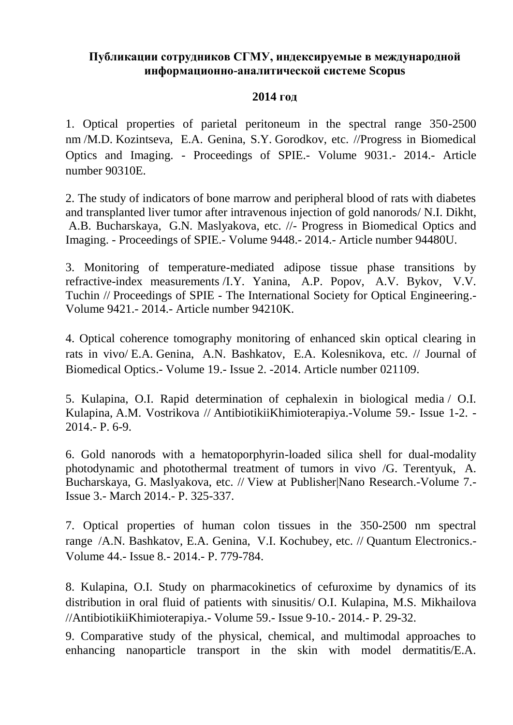## **Публикации сотрудников СГМУ, индексируемые в международной информационно-аналитической системе Scopus**

## **2014 год**

1. Optical properties of parietal peritoneum in the spectral range 350-2500 nm /M.D. [Kozintseva,](http://www.scopus.com/authid/detail.url?authorId=56048496000&eid=2-s2.0-84894593446) E.A. [Genina, S](http://www.scopus.com/authid/detail.url?authorId=8574384400&eid=2-s2.0-84894593446).Y. [Gorodkov, etc.](http://www.scopus.com/authid/detail.url?authorId=9739081400&eid=2-s2.0-84894593446) //Progress in Biomedical Optics and Imaging. - Proceedings of SPIE.- Volume 9031.- 2014.- Article number 90310E.

2. The study of indicators of bone marrow and peripheral blood of rats with diabetes and transplanted liver tumor after intravenous injection of gold nanorods/ N.I. [Dikht,](http://www.scopus.com/authid/detail.url?authorId=56047582400&eid=2-s2.0-84925626003)  A.B. [Bucharskaya,](http://www.scopus.com/authid/detail.url?authorId=11738772400&eid=2-s2.0-84925626003) G.N. [Maslyakova, e](http://www.scopus.com/authid/detail.url?authorId=8960549800&eid=2-s2.0-84925626003)tc. //- Progress in Biomedical Optics and Imaging. - Proceedings of SPIE.- Volume 9448.- 2014.- Article number 94480U.

3. Monitoring of temperature-mediated adipose tissue phase transitions by refractive-index measurements /I.Y. [Yanina,](http://www.scopus.com/authid/detail.url?authorId=22952614500&eid=2-s2.0-84922721835) A.P. [Popov,](http://www.scopus.com/authid/detail.url?authorId=7402986439&eid=2-s2.0-84922721835) A.V. [Bykov,](http://www.scopus.com/authid/detail.url?authorId=8328833800&eid=2-s2.0-84922721835) V.V. [Tuchin](http://www.scopus.com/authid/detail.url?authorId=36048347000&eid=2-s2.0-84922721835) // Proceedings of SPIE - [The International Society for Optical Engineering.](http://www.scopus.com/source/sourceInfo.url?sourceId=40067&origin=recordpage)- Volume 9421.- 2014.- Article number 94210K.

4. Optical coherence tomography monitoring of enhanced skin optical clearing in rats in vivo/ E.A. [Genina,](http://www.scopus.com/authid/detail.url?authorId=8574384400&eid=2-s2.0-84887836325) A.N. [Bashkatov,](http://www.scopus.com/authid/detail.url?authorId=7003284918&eid=2-s2.0-84887836325) E.A. [Kolesnikova, etc. /](http://www.scopus.com/authid/detail.url?authorId=55796260200&eid=2-s2.0-84887836325)/ [Journal of](http://www.scopus.com/source/sourceInfo.url?sourceId=12156&origin=recordpage)  [Biomedical Optics.](http://www.scopus.com/source/sourceInfo.url?sourceId=12156&origin=recordpage)- Volume 19.- Issue 2. -2014. Article number 021109.

5. [Kulapina, O.I.](http://www.scopus.com/authid/detail.url?authorId=6505932350&eid=2-s2.0-84903939347) Rapid determination of cephalexin in biological media / O.I. [Kulapina,](http://www.scopus.com/authid/detail.url?authorId=6505932350&eid=2-s2.0-84903939347) A.M. [Vostrikova](http://www.scopus.com/authid/detail.url?authorId=56257757200&eid=2-s2.0-84903939347) // [AntibiotikiiKhimioterapiya.](http://www.scopus.com/source/sourceInfo.url?sourceId=19486&origin=recordpage)-Volume 59.- Issue 1-2. - 2014.- P. 6-9.

6. Gold nanorods with a hematoporphyrin-loaded silica shell for dual-modality photodynamic and photothermal treatment of tumors in vivo /G. [Terentyuk,](http://www.scopus.com/authid/detail.url?authorId=22952288800&eid=2-s2.0-84897021068) A. [Bucharskaya, G](http://www.scopus.com/authid/detail.url?authorId=11738772400&eid=2-s2.0-84897021068). [Maslyakova, e](http://www.scopus.com/authid/detail.url?authorId=8960549800&eid=2-s2.0-84897021068)tc. /[/](http://www.scopus.com/record/display.url?eid=2-s2.0-84894593446&origin=resultslist&sort=plf-f&src=s&nlo=&nlr=&nls=&sid=E2B071AFDA0AA8B6F1EE49E5E7D40C37.f594dyPDCy4K3aQHRor6A%3a760&sot=aff&sdt=cl&cluster=scoafid%2c%2260068671%22%2ct%2bscopubyr%2c%222014%22%2ct&sl=69&s=AF-ID%28%22Saratovskij+Gosudarstvennyj+Medicinskij+Universitet%22+60022695%29&relpos=0&relpos=0&citeCnt=0&searchTerm=AF-ID%28%5C%26quot%3BSaratovskij+Gosudarstvennyj+Medicinskij+Universitet%5C%26quot%3B+60022695%29+AND+%28+LIMIT-TO%28AF-ID%2C%5C%26quot%3BSaratov+State+University%5C%26quot%3B+60068671%29+%29++AND+%28+LIMIT-TO%28PUBYEAR%2C2014%29+%29+#corrAuthorFooter) [View at Publisher](http://www.scopus.com/record/display.url?eid=2-s2.0-84894593446&origin=resultslist&sort=plf-f&src=s&nlo=&nlr=&nls=&sid=E2B071AFDA0AA8B6F1EE49E5E7D40C37.f594dyPDCy4K3aQHRor6A%3a760&sot=aff&sdt=cl&cluster=scoafid%2c%2260068671%22%2ct%2bscopubyr%2c%222014%22%2ct&sl=69&s=AF-ID%28%22Saratovskij+Gosudarstvennyj+Medicinskij+Universitet%22+60022695%29&relpos=0&relpos=0&citeCnt=0&searchTerm=AF-ID%28%5C%26quot%3BSaratovskij+Gosudarstvennyj+Medicinskij+Universitet%5C%26quot%3B+60022695%29+AND+%28+LIMIT-TO%28AF-ID%2C%5C%26quot%3BSaratov+State+University%5C%26quot%3B+60068671%29+%29++AND+%28+LIMIT-TO%28PUBYEAR%2C2014%29+%29+#corrAuthorFooter)[|Nano Research.](http://www.scopus.com/source/sourceInfo.url?sourceId=17500155020&origin=recordpage)-Volume 7.- Issue 3.- March 2014.- P. 325-337.

7. Optical properties of human colon tissues in the 350-2500 nm spectral range /A.N. [Bashkatov, E](http://www.scopus.com/authid/detail.url?authorId=7003284918&eid=2-s2.0-84907006039).A. [Genina,](http://www.scopus.com/authid/detail.url?authorId=8574384400&eid=2-s2.0-84907006039) V.I. [Kochubey, e](http://www.scopus.com/authid/detail.url?authorId=7004689292&eid=2-s2.0-84907006039)tc. /[/](mailto:tuchinvv@mail.ru) [Quantum Electronics.](mailto:tuchinvv@mail.ru)- Volume 44.- Issue 8.- 2014.- P. 779-784.

8. [Kulapina, O.I.](http://www.scopus.com/authid/detail.url?authorId=6505932350&eid=2-s2.0-84928983181) Study on pharmacokinetics of cefuroxime by dynamics of its distribution in oral fluid of patients with sinusitis/ O.I. [Kulapina, M](http://www.scopus.com/authid/detail.url?authorId=6505932350&eid=2-s2.0-84928983181).S. [Mikhailova](http://www.scopus.com/authid/detail.url?authorId=56625654700&eid=2-s2.0-84928983181) /[/AntibiotikiiKhimioterapiya.](http://www.scopus.com/source/sourceInfo.url?sourceId=19486&origin=recordpage)- Volume 59.- Issue 9-10.- 2014.- P. 29-32.

9. Comparative study of the physical, chemical, and multimodal approaches to enhancing nanoparticle transport in the skin with model dermatitis/E.A.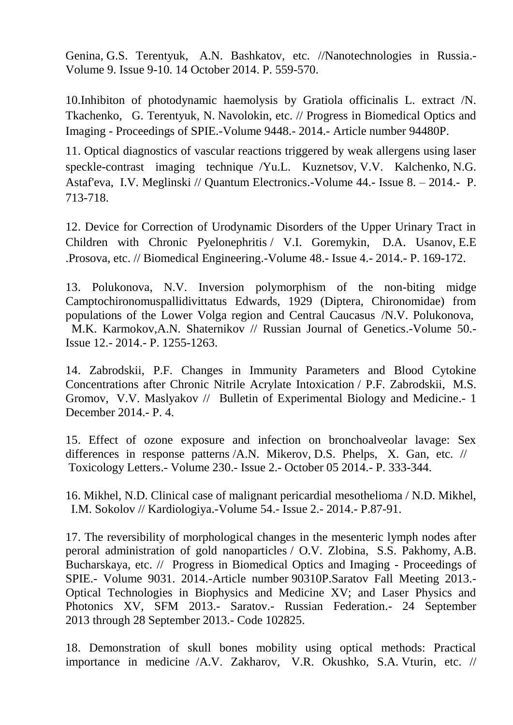[Genina,](http://www.scopus.com/authid/detail.url?authorId=8574384400&eid=2-s2.0-84918516085) G.S. [Terentyuk,](http://www.scopus.com/authid/detail.url?authorId=22952288800&eid=2-s2.0-84918516085) A.N. [Bashkatov, etc.](http://www.scopus.com/authid/detail.url?authorId=7003284918&eid=2-s2.0-84918516085) /[/Nanotechnologies in Russia.](http://www.scopus.com/source/sourceInfo.url?sourceId=19700186876&origin=recordpage)- Volume 9. Issue 9-10. 14 October 2014. P. 559-570.

10.Inhibiton of photodynamic haemolysis by Gratiola officinalis L. extract /N. [Tkachenko,](http://www.scopus.com/authid/detail.url?authorId=56572301600&eid=2-s2.0-84925682097) G. [Terentyuk, N](http://www.scopus.com/authid/detail.url?authorId=22952288800&eid=2-s2.0-84925682097). [Navolokin, e](http://www.scopus.com/authid/detail.url?authorId=44461748000&eid=2-s2.0-84925682097)tc. // Progress in Biomedical Optics and Imaging - Proceedings of SPIE.-Volume 9448.- 2014.- Article number 94480P.

11. Optical diagnostics of vascular reactions triggered by weak allergens using laser speckle-contrast imaging technique /Yu.L. [Kuznetsov,](http://www.scopus.com/authid/detail.url?authorId=37104481000&eid=2-s2.0-84907003881) V.V. [Kalchenko,](http://www.scopus.com/authid/detail.url?authorId=15128577500&eid=2-s2.0-84907003881) N.G. [Astaf'eva,](http://www.scopus.com/authid/detail.url?authorId=7003704975&eid=2-s2.0-84907003881) I.V. [Meglinski](http://www.scopus.com/authid/detail.url?authorId=6603766459&eid=2-s2.0-84907003881) // [Quantum Electronics.](http://www.scopus.com/source/sourceInfo.url?sourceId=29653&origin=recordpage)-Volume 44.- Issue 8. – 2014.- P. 713-718.

12. Device for Correction of Urodynamic Disorders of the Upper Urinary Tract in Children with Chronic Pyelonephritis / V.I. [Goremykin,](http://www.scopus.com/authid/detail.url?authorId=56381374500&eid=2-s2.0-84925505835) D.A. [Usanov,](http://www.scopus.com/authid/detail.url?authorId=7006340828&eid=2-s2.0-84925505835) E.E [.Prosova, etc.](http://www.scopus.com/authid/detail.url?authorId=56381601600&eid=2-s2.0-84925505835) // [Biomedical Engineering.](http://www.scopus.com/source/sourceInfo.url?sourceId=28203&origin=recordpage)-Volume 48.- Issue 4.- 2014.- P. 169-172.

13. [Polukonova, N.V.](http://www.scopus.com/authid/detail.url?authorId=56116373500&eid=2-s2.0-84919952219) Inversion polymorphism of the non-biting midge Camptochironomuspallidivittatus Edwards, 1929 (Diptera, Chironomidae) from populations of the Lower Volga region and Central Caucasus /N.V. [Polukonova,](http://www.scopus.com/authid/detail.url?authorId=56116373500&eid=2-s2.0-84919952219) M.K. [Karmokov,A](http://www.scopus.com/authid/detail.url?authorId=55600420800&eid=2-s2.0-84919952219).N. [Shaternikov](http://www.scopus.com/authid/detail.url?authorId=56462846700&eid=2-s2.0-84919952219) // [Russian Journal of Genetics.](http://www.scopus.com/source/sourceInfo.url?sourceId=19021&origin=recordpage)-Volume 50.- Issue 12.- 2014.- P. 1255-1263.

14. [Zabrodskii, P.F.](http://www.scopus.com/authid/detail.url?authorId=7003575871&eid=2-s2.0-84914170369) Changes in Immunity Parameters and Blood Cytokine Concentrations after Chronic Nitrile Acrylate Intoxication / P.F. [Zabrodskii, M](http://www.scopus.com/authid/detail.url?authorId=7003575871&eid=2-s2.0-84914170369).S. [Gromov,](http://www.scopus.com/authid/detail.url?authorId=7004039762&eid=2-s2.0-84914170369) V.V. [Maslyakov](http://www.scopus.com/authid/detail.url?authorId=56436544400&eid=2-s2.0-84914170369) // [Bulletin of Experimental Biology and Medicine.](http://www.scopus.com/source/sourceInfo.url?sourceId=13843&origin=recordpage)- 1 December 2014.- P. 4.

15. Effect of ozone exposure and infection on bronchoalveolar lavage: Sex differences in response patterns /A.N. [Mikerov,](http://www.scopus.com/authid/detail.url?authorId=6506890694&eid=2-s2.0-84907167857) D.S. [Phelps,](http://www.scopus.com/authid/detail.url?authorId=7101873324&eid=2-s2.0-84907167857) X. [Gan, etc. /](http://www.scopus.com/authid/detail.url?authorId=16934700700&eid=2-s2.0-84907167857)/ [Toxicology Letters.](mailto:jfloros@hmc.psu.edu)- Volume 230.- Issue 2.- October 05 2014.- P. 333-344[.](http://www.scopus.com/record/display.url?eid=2-s2.0-84907167857&origin=resultslist&sort=plf-f&src=s&nlo=1&nlr=20&nls=&affilName=Saratov+state+medical+university&sid=6049839AC5885A929B5AB106DBF468F5.y7ESLndDIsN8cE7qwvy6w%3a130&sot=aff&sdt=cl&cluster=scopubyr%2c%222015%22%2ct%2c%222014%22%2ct%2c%222013%22%2ct%2c%222012%22%2ct%2c%222011%22%2ct&sl=71&s=%28AF-ID%28%22Saratovskij+Gosudarstvennyj+Medicinskij+Universitet%22+60022695%29%29&relpos=14&relpos=14&citeCnt=0&searchTerm=%28AF-ID%28%5C%26quot%3BSaratovskij+Gosudarstvennyj+Medicinskij+Universitet%5C%26quot%3B+60022695%29%29+AND+%28+LIMIT-TO%28PUBYEAR%2C2015%29+OR+LIMIT-TO%28PUBYEAR%2C2014%29+OR+LIMIT-TO%28PUBYEAR%2C2013%29+OR+LIMIT-TO%28PUBYEAR%2C2012%29+OR+LIMIT-TO%28PUBYEAR%2C2011%29+%29+#corrAuthorFooter)

16. [Mikhel, N.D.](http://www.scopus.com/authid/detail.url?authorId=56050295600&eid=2-s2.0-84894641903) Clinical case of malignant pericardial mesothelioma / N.D. [Mikhel,](http://www.scopus.com/authid/detail.url?authorId=56050295600&eid=2-s2.0-84894641903)  I.M. [Sokolov](http://www.scopus.com/authid/detail.url?authorId=56050138200&eid=2-s2.0-84894641903) // [Kardiologiya.](http://www.scopus.com/source/sourceInfo.url?sourceId=23904&origin=recordpage)-Volume 54.- Issue 2.- 2014.- P.87-91.

17. The reversibility of morphological changes in the mesenteric lymph nodes after peroral administration of gold nanoparticles / O.V. [Zlobina,](http://www.scopus.com/authid/detail.url?authorId=56047228100&eid=2-s2.0-84894548151) S.S. [Pakhomy,](http://www.scopus.com/authid/detail.url?authorId=56048180800&eid=2-s2.0-84894548151) A.B. [Bucharskaya, etc.](http://www.scopus.com/authid/detail.url?authorId=11738772400&eid=2-s2.0-84894548151) // Progress in Biomedical Optics and Imaging - Proceedings of SPIE.- Volume 9031. 2014.-Article number 90310P.Saratov Fall Meeting 2013.- Optical Technologies in Biophysics and Medicine XV; and Laser Physics and Photonics XV, SFM 2013.- Saratov.- Russian Federation.- 24 September 2013 through 28 September 2013.- Code 102825.

18. Demonstration of skull bones mobility using optical methods: Practical importance in medicine /A.V. [Zakharov,](http://www.scopus.com/authid/detail.url?authorId=56047413000&eid=2-s2.0-84894568353) V.R. [Okushko, S](http://www.scopus.com/authid/detail.url?authorId=7003644960&eid=2-s2.0-84894568353).A. [Vturin, e](http://www.scopus.com/authid/detail.url?authorId=56048581300&eid=2-s2.0-84894568353)tc. //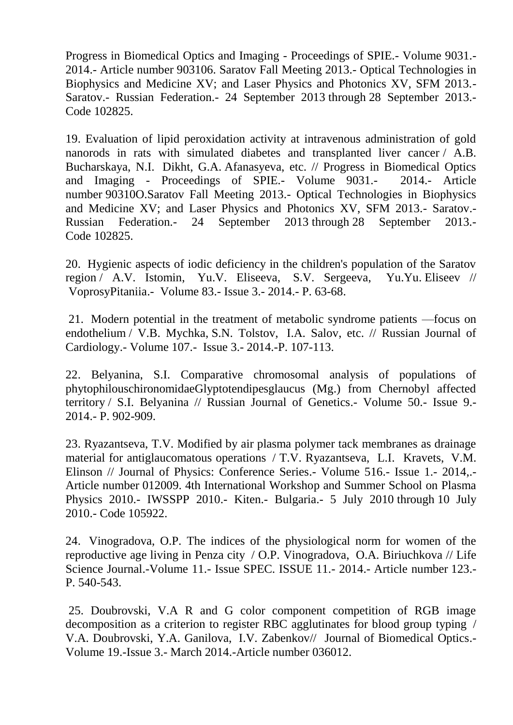Progress in Biomedical Optics and Imaging - Proceedings of SPIE.- Volume 9031.- 2014.- Article number 903106. Saratov Fall Meeting 2013.- Optical Technologies in Biophysics and Medicine XV; and Laser Physics and Photonics XV, SFM 2013.- Saratov.- Russian Federation.- 24 September 2013 through 28 September 2013.- Code 102825.

19. Evaluation of lipid peroxidation activity at intravenous administration of gold nanorods in rats with simulated diabetes and transplanted liver cancer / A.B. [Bucharskaya, N](http://www.scopus.com/authid/detail.url?authorId=11738772400&eid=2-s2.0-84894558203).I. [Dikht, G](http://www.scopus.com/authid/detail.url?authorId=56047582400&eid=2-s2.0-84894558203).A. [Afanasyeva, e](http://www.scopus.com/authid/detail.url?authorId=56047167400&eid=2-s2.0-84894558203)tc. // Progress in Biomedical Optics and Imaging - Proceedings of SPIE.- Volume 9031.- 2014.- Article number 90310O.Saratov Fall Meeting 2013.- Optical Technologies in Biophysics and Medicine XV; and Laser Physics and Photonics XV, SFM 2013.- Saratov.- Russian Federation.- 24 September 2013 through 28 September 2013.- Code 102825.

20. Hygienic aspects of iodic deficiency in the children's population of the Saratov region / A.V. [Istomin,](http://www.scopus.com/authid/detail.url?authorId=7005308223&eid=2-s2.0-84921732998) Yu.V. [Eliseeva,](http://www.scopus.com/authid/detail.url?authorId=56525179800&eid=2-s2.0-84921732998) S.V. [Sergeeva,](http://www.scopus.com/authid/detail.url?authorId=56494572600&eid=2-s2.0-84921732998) [Y](mailto:yeliseev55@mail.ru)u.Yu. [Eliseev](http://www.scopus.com/authid/detail.url?authorId=6603067692&eid=2-s2.0-84921732998) // [VoprosyPitaniia.](mailto:yeliseev55@mail.ru)- Volume 83.- Issue 3.- 2014.- P. 63-68.

[2](http://www.scopus.com/record/display.url?eid=2-s2.0-84894641903&origin=resultslist&sort=plf-f&src=s&nlo=1&nlr=20&nls=&affilName=Saratov+state+medical+university&sid=6049839AC5885A929B5AB106DBF468F5.y7ESLndDIsN8cE7qwvy6w%3a130&sot=aff&sdt=cl&cluster=scopubyr%2c%222015%22%2ct%2c%222014%22%2ct%2c%222013%22%2ct%2c%222012%22%2ct%2c%222011%22%2ct&sl=71&s=%28AF-ID%28%22Saratovskij+Gosudarstvennyj+Medicinskij+Universitet%22+60022695%29%29&relpos=15&relpos=15&citeCnt=0&searchTerm=%28AF-ID%28%5C%26quot%3BSaratovskij+Gosudarstvennyj+Medicinskij+Universitet%5C%26quot%3B+60022695%29%29+AND+%28+LIMIT-TO%28PUBYEAR%2C2015%29+OR+LIMIT-TO%28PUBYEAR%2C2014%29+OR+LIMIT-TO%28PUBYEAR%2C2013%29+OR+LIMIT-TO%28PUBYEAR%2C2012%29+OR+LIMIT-TO%28PUBYEAR%2C2011%29+%29+#corrAuthorFooter)1. Modern potential in the treatment of metabolic syndrome patients —focus on endothelium / V.B. [Mychka,](http://www.scopus.com/authid/detail.url?authorId=6603661423&eid=2-s2.0-84933506965) S.N. [Tolstov,](http://www.scopus.com/authid/detail.url?authorId=55308630400&eid=2-s2.0-84933506965) I.A. [Salov, e](http://www.scopus.com/authid/detail.url?authorId=56700154200&eid=2-s2.0-84933506965)tc. // [Russian Journal of](http://www.scopus.com/source/sourceInfo.url?sourceId=21100326272&origin=recordpage)  [Cardiology.](http://www.scopus.com/source/sourceInfo.url?sourceId=21100326272&origin=recordpage)- Volume 107.- Issue 3.- 2014.-P. 107-113.

22. [Belyanina, S.I.](http://www.scopus.com/authid/detail.url?authorId=6508366946&eid=2-s2.0-84919792034) Comparative chromosomal analysis of populations of phytophilouschironomidaeGlyptotendipesglaucus (Mg.) from Chernobyl affected territory / S.I. [Belyanina](http://www.scopus.com/authid/detail.url?authorId=6508366946&eid=2-s2.0-84919792034) [/](mailto:microtus43@mail.ru)/ [Russian Journal of Genetics.](http://www.scopus.com/source/sourceInfo.url?sourceId=19021&origin=recordpage)- Volume 50.- Issue 9.- 2014.- P. 902-909.

23. [Ryazantseva, T.V.](http://www.scopus.com/authid/detail.url?authorId=43161329900&eid=2-s2.0-84903462090) Modified by air plasma polymer tack membranes as drainage material for antiglaucomatous operations / T.V. [Ryazantseva,](http://www.scopus.com/authid/detail.url?authorId=43161329900&eid=2-s2.0-84903462090) L.I[.](mailto:tvroko@gmail.com) [Kravets,](http://www.scopus.com/authid/detail.url?authorId=7004410220&eid=2-s2.0-84903462090) V.M. [Elinson](http://www.scopus.com/authid/detail.url?authorId=6602714182&eid=2-s2.0-84903462090) // [Journal of Physics: Conference Series.](http://www.scopus.com/source/sourceInfo.url?sourceId=130053&origin=recordpage)- Volume 516.- Issue 1.- 2014,.- Article number 012009. 4th International Workshop and Summer School on Plasma Physics 2010.- IWSSPP 2010.- Kiten.- Bulgaria.- 5 July 2010 through 10 July 2010.- Code 105922.

24. [Vinogradova, O.P.](http://www.scopus.com/authid/detail.url?authorId=56285113500&eid=2-s2.0-84904571760) The indices of the physiological norm for women of the reproductive age living in Penza city / O.P. [Vinogradova,](http://www.scopus.com/authid/detail.url?authorId=56285113500&eid=2-s2.0-84904571760) O.A. [Biriuchkova](http://www.scopus.com/authid/detail.url?authorId=56285163900&eid=2-s2.0-84904571760) // [Life](http://www.scopus.com/source/sourceInfo.url?sourceId=13600154710&origin=recordpage)  [Science Journal.](http://www.scopus.com/source/sourceInfo.url?sourceId=13600154710&origin=recordpage)-Volume 11.- Issue SPEC. ISSUE 11.- 2014.- Article number 123.- P. 540-543.

[2](http://www.scopus.com/record/display.url?eid=2-s2.0-84904571760&origin=resultslist&sort=plf-f&src=s&nlo=1&nlr=20&nls=&affilName=Saratov+state+medical+university&sid=6049839AC5885A929B5AB106DBF468F5.y7ESLndDIsN8cE7qwvy6w%3a130&sot=aff&sdt=cl&cluster=scopubyr%2c%222015%22%2ct%2c%222014%22%2ct%2c%222013%22%2ct%2c%222012%22%2ct%2c%222011%22%2ct&sl=71&s=%28AF-ID%28%22Saratovskij+Gosudarstvennyj+Medicinskij+Universitet%22+60022695%29%29&relpos=26&relpos=26&citeCnt=0&searchTerm=%28AF-ID%28%5C%26quot%3BSaratovskij+Gosudarstvennyj+Medicinskij+Universitet%5C%26quot%3B+60022695%29%29+AND+%28+LIMIT-TO%28PUBYEAR%2C2015%29+OR+LIMIT-TO%28PUBYEAR%2C2014%29+OR+LIMIT-TO%28PUBYEAR%2C2013%29+OR+LIMIT-TO%28PUBYEAR%2C2012%29+OR+LIMIT-TO%28PUBYEAR%2C2011%29+%29+#corrAuthorFooter)5. Doubrovski, V.A R and G color component competition of RGB image decomposition as a criterion to register RBC agglutinates for blood group typing / V.A. [Doubrovski, Y](http://www.scopus.com/authid/detail.url?authorId=6603458177&eid=2-s2.0-84896979475).A. [Ganilova,](http://www.scopus.com/authid/detail.url?authorId=24166144800&eid=2-s2.0-84896979475) I.V. [Zabenkov/](http://www.scopus.com/authid/detail.url?authorId=6506712175&eid=2-s2.0-84896979475)/ [Journal of Biomedical Optics.](http://www.scopus.com/source/sourceInfo.url?sourceId=12156&origin=recordpage)- Volume 19.-Issue 3.- March 2014.-Article number 036012.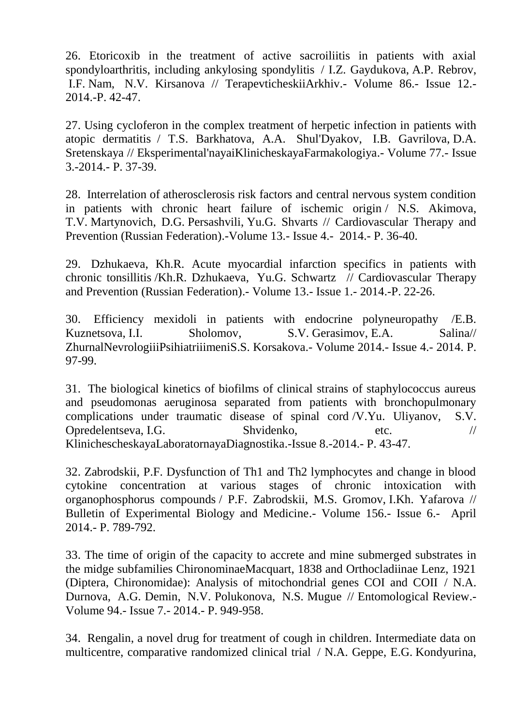26. Etoricoxib in the treatment of active sacroiliitis in patients with axial spondyloarthritis, including ankylosing spondylitis / I.Z. [Gaydukova,](http://www.scopus.com/authid/detail.url?authorId=55237525900&eid=2-s2.0-84928760150) A.P. [Rebrov,](http://www.scopus.com/authid/detail.url?authorId=56612268100&eid=2-s2.0-84928760150)  [I](http://www.scopus.com/authid/detail.url?authorId=56612268100&eid=2-s2.0-84928760150).F. [Nam,](http://www.scopus.com/authid/detail.url?authorId=56612249900&eid=2-s2.0-84928760150) N.V. [Kirsanova](http://www.scopus.com/authid/detail.url?authorId=56612447100&eid=2-s2.0-84928760150) // [TerapevticheskiiArkhiv.](http://www.scopus.com/source/sourceInfo.url?sourceId=19655&origin=recordpage)- Volume 86.- Issue 12.- 2014.-P. 42-47.

27. Using cycloferon in the complex treatment of herpetic infection in patients with atopic dermatitis / T.S. [Barkhatova, A](http://www.scopus.com/authid/detail.url?authorId=55545627800&eid=2-s2.0-84900555275).A. [Shul'Dyakov,](http://www.scopus.com/authid/detail.url?authorId=37038386600&eid=2-s2.0-84900555275) I.B. [Gavrilova,](http://www.scopus.com/authid/detail.url?authorId=56160271600&eid=2-s2.0-84900555275) D.A. [Sretenskaya](http://www.scopus.com/authid/detail.url?authorId=56177846900&eid=2-s2.0-84900555275) // [Eksperimental'nayaiKlinicheskayaFarmakologiya.](http://www.scopus.com/source/sourceInfo.url?sourceId=21279&origin=recordpage)- Volume 77.- Issue 3.-2014.- P. 37-39.

28. Interrelation of atherosclerosis risk factors and central nervous system condition in patients with chronic heart failure of ischemic origin / N.S. [Akimova,](http://www.scopus.com/authid/detail.url?authorId=56380052800&eid=2-s2.0-84930706294)  T.V. [Martynovich, D](http://www.scopus.com/authid/detail.url?authorId=56676098000&eid=2-s2.0-84930706294).G. [Persashvili,](http://www.scopus.com/authid/detail.url?authorId=56380447100&eid=2-s2.0-84930706294) Yu.G. [Shvarts](http://www.scopus.com/authid/detail.url?authorId=56676036300&eid=2-s2.0-84930706294) // [Cardiovascular Therapy and](http://www.scopus.com/source/sourceInfo.url?sourceId=21100203318&origin=recordpage)  [Prevention \(Russian Federation\).](http://www.scopus.com/source/sourceInfo.url?sourceId=21100203318&origin=recordpage)-Volume 13.- Issue 4.- 2014.- P. 36-40.

29. [Dzhukaeva, Kh.R.](http://www.scopus.com/authid/detail.url?authorId=56676222800&eid=2-s2.0-84930751311) Acute myocardial infarction specifics in patients with chronic tonsillitis /Kh.R. [Dzhukaeva,](http://www.scopus.com/authid/detail.url?authorId=56676222800&eid=2-s2.0-84930751311) Yu.G. [Schwartz](http://www.scopus.com/authid/detail.url?authorId=56379859200&eid=2-s2.0-84930751311) [/](mailto:shwartz58@yandex.ru)/ [Cardiovascular Therapy](http://www.scopus.com/source/sourceInfo.url?sourceId=21100203318&origin=recordpage)  [and Prevention \(Russian Federation\).](http://www.scopus.com/source/sourceInfo.url?sourceId=21100203318&origin=recordpage)- Volume 13.- Issue 1.- 2014.-P. 22-26.

30. Efficiency mexidoli in patients with endocrine polyneuropathy /E.B. [Kuznetsova,](http://www.scopus.com/authid/detail.url?authorId=24605368300&eid=2-s2.0-84905090989) I.I. [Sholomov, S](http://www.scopus.com/authid/detail.url?authorId=6506233327&eid=2-s2.0-84905090989).V. [Gerasimov,](http://www.scopus.com/authid/detail.url?authorId=56299691300&eid=2-s2.0-84905090989) E.A. [Salina/](http://www.scopus.com/authid/detail.url?authorId=35773693500&eid=2-s2.0-84905090989)/ [ZhurnalNevrologiiiPsihiatriiimeniS.S. Korsakova.](http://www.scopus.com/source/sourceInfo.url?sourceId=110337&origin=recordpage)- Volume 2014.- Issue 4.- 2014. P. 97-99.

31. The biological kinetics of biofilms of clinical strains of staphylococcus aureus and pseudomonas aeruginosa separated from patients with bronchopulmonary complications under traumatic disease of spinal cord /V.Yu. [Uliyanov,](http://www.scopus.com/authid/detail.url?authorId=56527335300&eid=2-s2.0-84923363992) S.V. [Opredelentseva,](http://www.scopus.com/authid/detail.url?authorId=56527397700&eid=2-s2.0-84923363992) I.G. [Shvidenko,](http://www.scopus.com/authid/detail.url?authorId=6603789225&eid=2-s2.0-84923363992) etc. // [KlinichescheskayaLaboratornayaDiagnostika.](http://www.scopus.com/source/sourceInfo.url?sourceId=27231&origin=recordpage)-Issue 8.-2014.- P. 43-47.

32. Zabrodskii, P.F. Dysfunction of Th1 and Th2 lymphocytes and change in blood cytokine concentration at various stages of chronic intoxication with organophosphorus compounds / P.F. [Zabrodskii,](http://www.scopus.com/authid/detail.url?authorId=7003575871&eid=2-s2.0-84902658562) M.S. [Gromov,](http://www.scopus.com/authid/detail.url?authorId=7004039762&eid=2-s2.0-84902658562) I.Kh. [Yafarova](http://www.scopus.com/authid/detail.url?authorId=55953850800&eid=2-s2.0-84902658562) // [Bulletin of Experimental Biology and Medicine.](http://www.scopus.com/source/sourceInfo.url?sourceId=13843&origin=recordpage)- Volume 156.- Issue 6.- April 2014.- P. 789-792.

33. The time of origin of the capacity to accrete and mine submerged substrates in the midge subfamilies ChironominaeMacquart, 1838 and Orthocladiinae Lenz, 1921 (Diptera, Chironomidae): Analysis of mitochondrial genes COI and COII / N.A. [Durnova,](http://www.scopus.com/authid/detail.url?authorId=6506798404&eid=2-s2.0-84920269946) A.G. [Demin,](http://www.scopus.com/authid/detail.url?authorId=35107063500&eid=2-s2.0-84920269946) N.V. [Polukonova,](http://www.scopus.com/authid/detail.url?authorId=56116373500&eid=2-s2.0-84920269946) N.S. [Mugue](http://www.scopus.com/authid/detail.url?authorId=23103620400&eid=2-s2.0-84920269946) // [Entomological Review.](http://www.scopus.com/source/sourceInfo.url?sourceId=19809&origin=recordpage)- Volume 94.- Issue 7.- 2014.- P. 949-958.

34. Rengalin, a novel drug for treatment of cough in children. Intermediate data on multicentre, comparative randomized clinical trial / N.A. [Geppe, E](http://www.scopus.com/authid/detail.url?authorId=6506344864&eid=2-s2.0-84929000251).G. [Kondyurina,](http://www.scopus.com/authid/detail.url?authorId=6504778361&eid=2-s2.0-84929000251)